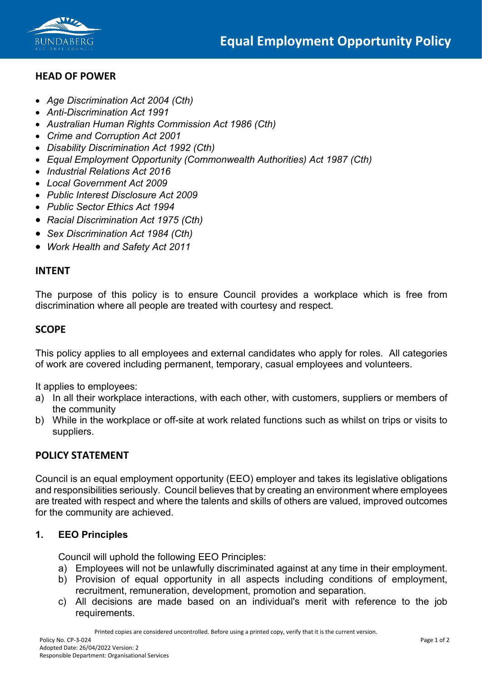

# **HEAD OF POWER**

- *Age Discrimination Act 2004 (Cth)*
- *Anti-Discrimination Act 1991*
- *Australian Human Rights Commission Act 1986 (Cth)*
- *Crime and Corruption Act 2001*
- *Disability Discrimination Act 1992 (Cth)*
- *Equal Employment Opportunity (Commonwealth Authorities) Act 1987 (Cth)*
- *Industrial Relations Act 2016*
- *Local Government Act 2009*
- *Public Interest Disclosure Act 2009*
- *Public Sector Ethics Act 1994*
- *Racial Discrimination Act 1975 (Cth)*
- *Sex Discrimination Act 1984 (Cth)*
- *Work Health and Safety Act 2011*

#### **INTENT**

The purpose of this policy is to ensure Council provides a workplace which is free from discrimination where all people are treated with courtesy and respect.

# **SCOPE**

This policy applies to all employees and external candidates who apply for roles. All categories of work are covered including permanent, temporary, casual employees and volunteers.

It applies to employees:

- a) In all their workplace interactions, with each other, with customers, suppliers or members of the community
- b) While in the workplace or off-site at work related functions such as whilst on trips or visits to suppliers.

# **POLICY STATEMENT**

Council is an equal employment opportunity (EEO) employer and takes its legislative obligations and responsibilities seriously. Council believes that by creating an environment where employees are treated with respect and where the talents and skills of others are valued, improved outcomes for the community are achieved.

# **1. EEO Principles**

Council will uphold the following EEO Principles:

- a) Employees will not be unlawfully discriminated against at any time in their employment.
- b) Provision of equal opportunity in all aspects including conditions of employment, recruitment, remuneration, development, promotion and separation.
- c) All decisions are made based on an individual's merit with reference to the job requirements.

Printed copies are considered uncontrolled. Before using a printed copy, verify that it is the current version.